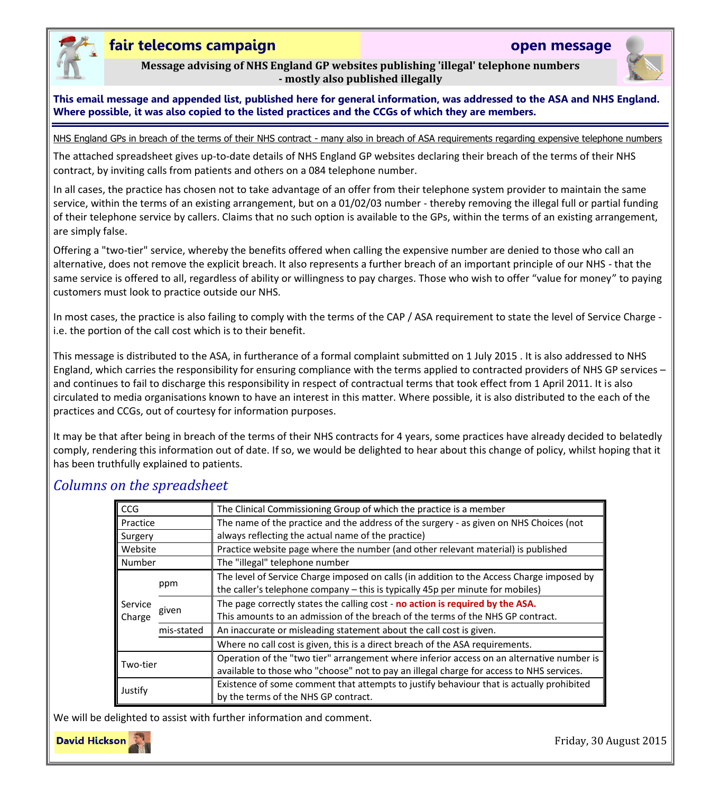

## **fair telecoms campaign open message**

**Message advising of NHS England GP websites publishing 'illegal' telephone numbers - mostly also published illegally**

**This email message and appended list, published here for general information, was addressed to the ASA and NHS England. Where possible, it was also copied to the listed practices and the CCGs of which they are members.** 

NHS England GPs in breach of the terms of their NHS contract - many also in breach of ASA requirements regarding expensive telephone numbers

The attached spreadsheet gives up-to-date details of NHS England GP websites declaring their breach of the terms of their NHS contract, by inviting calls from patients and others on a 084 telephone number.

In all cases, the practice has chosen not to take advantage of an offer from their telephone system provider to maintain the same service, within the terms of an existing arrangement, but on a 01/02/03 number - thereby removing the illegal full or partial funding of their telephone service by callers. Claims that no such option is available to the GPs, within the terms of an existing arrangement, are simply false.

Offering a "two-tier" service, whereby the benefits offered when calling the expensive number are denied to those who call an alternative, does not remove the explicit breach. It also represents a further breach of an important principle of our NHS - that the same service is offered to all, regardless of ability or willingness to pay charges. Those who wish to offer "value for money" to paying customers must look to practice outside our NHS.

In most cases, the practice is also failing to comply with the terms of the CAP / ASA requirement to state the level of Service Charge i.e. the portion of the call cost which is to their benefit.

This message is distributed to the ASA, in furtherance of a formal complaint submitted on 1 July 2015 . It is also addressed to NHS England, which carries the responsibility for ensuring compliance with the terms applied to contracted providers of NHS GP services – and continues to fail to discharge this responsibility in respect of contractual terms that took effect from 1 April 2011. It is also circulated to media organisations known to have an interest in this matter. Where possible, it is also distributed to the each of the practices and CCGs, out of courtesy for information purposes.

It may be that after being in breach of the terms of their NHS contracts for 4 years, some practices have already decided to belatedly comply, rendering this information out of date. If so, we would be delighted to hear about this change of policy, whilst hoping that it has been truthfully explained to patients.

| <b>CCG</b>        |            | The Clinical Commissioning Group of which the practice is a member                        |  |  |  |  |  |
|-------------------|------------|-------------------------------------------------------------------------------------------|--|--|--|--|--|
| Practice          |            | The name of the practice and the address of the surgery - as given on NHS Choices (not    |  |  |  |  |  |
| Surgery           |            | always reflecting the actual name of the practice)                                        |  |  |  |  |  |
| Website           |            | Practice website page where the number (and other relevant material) is published         |  |  |  |  |  |
| Number            |            | The "illegal" telephone number                                                            |  |  |  |  |  |
| Service<br>Charge | ppm        | The level of Service Charge imposed on calls (in addition to the Access Charge imposed by |  |  |  |  |  |
|                   |            | the caller's telephone company – this is typically 45p per minute for mobiles)            |  |  |  |  |  |
|                   | given      | The page correctly states the calling cost - no action is required by the ASA.            |  |  |  |  |  |
|                   |            | This amounts to an admission of the breach of the terms of the NHS GP contract.           |  |  |  |  |  |
|                   | mis-stated | An inaccurate or misleading statement about the call cost is given.                       |  |  |  |  |  |
|                   |            | Where no call cost is given, this is a direct breach of the ASA requirements.             |  |  |  |  |  |
| Two-tier          |            | Operation of the "two tier" arrangement where inferior access on an alternative number is |  |  |  |  |  |
|                   |            | available to those who "choose" not to pay an illegal charge for access to NHS services.  |  |  |  |  |  |
| Justify           |            | Existence of some comment that attempts to justify behaviour that is actually prohibited  |  |  |  |  |  |
|                   |            | by the terms of the NHS GP contract.                                                      |  |  |  |  |  |

## *Columns on the spreadsheet*

We will be delighted to assist with further information and comment.



Friday, 30 August 2015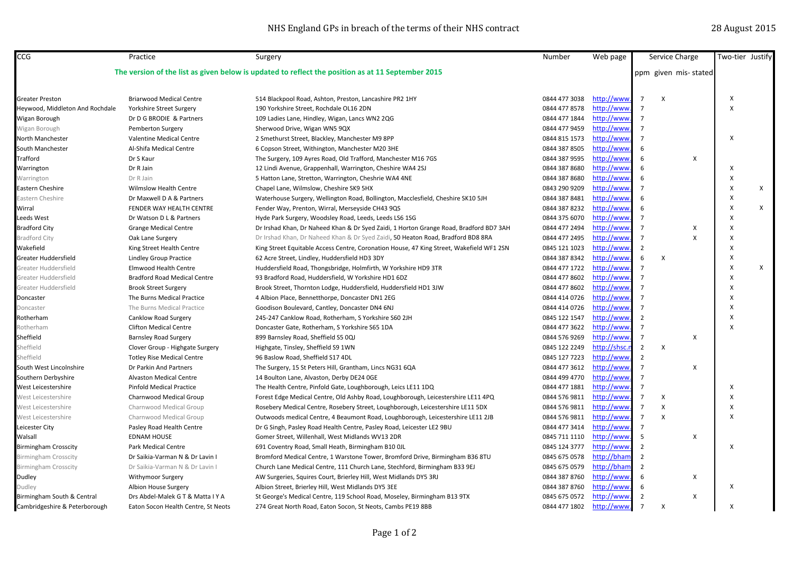| CCG                                                                                               | Practice                            | Surgery                                                                                  | Number        | Web page     |                | Service Charge            | Two-tier Justify          |   |
|---------------------------------------------------------------------------------------------------|-------------------------------------|------------------------------------------------------------------------------------------|---------------|--------------|----------------|---------------------------|---------------------------|---|
| The version of the list as given below is updated to reflect the position as at 11 September 2015 |                                     |                                                                                          |               |              |                | ppm given mis-stated      |                           |   |
|                                                                                                   |                                     |                                                                                          |               |              |                |                           |                           |   |
| <b>Greater Preston</b>                                                                            | <b>Briarwood Medical Centre</b>     | 514 Blackpool Road, Ashton, Preston, Lancashire PR2 1HY                                  | 0844 477 3038 | http://www.  | $\overline{7}$ | $\boldsymbol{\mathsf{x}}$ | $\boldsymbol{\mathsf{x}}$ |   |
| Heywood, Middleton And Rochdale                                                                   | Yorkshire Street Surgery            | 190 Yorkshire Street, Rochdale OL16 2DN                                                  | 0844 477 8578 | http://www   | $\overline{ }$ |                           | $\boldsymbol{\mathsf{X}}$ |   |
| Wigan Borough                                                                                     | Dr D G BRODIE & Partners            | 109 Ladies Lane, Hindley, Wigan, Lancs WN2 2QG                                           | 0844 477 1844 | http://www   | $\overline{7}$ |                           |                           |   |
| Wigan Borough                                                                                     | Pemberton Surgery                   | Sherwood Drive, Wigan WN5 9QX                                                            | 0844 477 9459 | http://www   | 7              |                           |                           |   |
| North Manchester                                                                                  | Valentine Medical Centre            | 2 Smethurst Street, Blackley, Manchester M9 8PP                                          | 0844 815 1573 | http://www   | $\overline{7}$ |                           | $\boldsymbol{\mathsf{X}}$ |   |
| South Manchester                                                                                  | Al-Shifa Medical Centre             | 6 Copson Street, Withington, Manchester M20 3HE                                          | 0844 387 8505 | http://www   | 6              |                           |                           |   |
| Trafford                                                                                          | Dr S Kaur                           | The Surgery, 109 Ayres Road, Old Trafford, Manchester M16 7GS                            | 0844 387 9595 | http://www   | 6              | $\boldsymbol{\mathsf{x}}$ |                           |   |
| Warrington                                                                                        | Dr R Jain                           | 12 Lindi Avenue, Grappenhall, Warrington, Cheshire WA4 2SJ                               | 0844 387 8680 | http://www   | 6              |                           | $\boldsymbol{\mathsf{X}}$ |   |
| Warrington                                                                                        | Dr R Jain                           | 5 Hatton Lane, Stretton, Warrington, Cheshrie WA4 4NE                                    | 0844 387 8680 | http://www   | 6              |                           | $\boldsymbol{\mathsf{X}}$ |   |
| <b>Eastern Cheshire</b>                                                                           | <b>Wilmslow Health Centre</b>       | Chapel Lane, Wilmslow, Cheshire SK9 5HX                                                  | 0843 290 9209 | http://www   | 7              |                           | $\boldsymbol{\mathsf{X}}$ | X |
| Eastern Cheshire                                                                                  | Dr Maxwell D A & Partners           | Waterhouse Surgery, Wellington Road, Bollington, Macclesfield, Cheshire SK10 5JH         | 0844 387 8481 | http://www   | $\mathsf{6}$   |                           | $\boldsymbol{\mathsf{x}}$ |   |
| Wirral                                                                                            | FENDER WAY HEALTH CENTRE            | Fender Way, Prenton, Wirral, Merseyside CH43 9QS                                         | 0844 387 8232 | http://www   | 6              |                           | $\boldsymbol{\mathsf{X}}$ | X |
| Leeds West                                                                                        | Dr Watson D L & Partners            | Hyde Park Surgery, Woodsley Road, Leeds, Leeds LS6 1SG                                   | 0844 375 6070 | http://www   | $\overline{7}$ |                           | $\boldsymbol{\mathsf{x}}$ |   |
| <b>Bradford City</b>                                                                              | <b>Grange Medical Centre</b>        | Dr Irshad Khan, Dr Naheed Khan & Dr Syed Zaidi, 1 Horton Grange Road, Bradford BD7 3AH   | 0844 477 2494 | http://www   | $\overline{7}$ | X                         | $\boldsymbol{\mathsf{x}}$ |   |
| <b>Bradford City</b>                                                                              | Oak Lane Surgery                    | Dr Irshad Khan, Dr Naheed Khan & Dr Syed Zaidi, 50 Heaton Road, Bradford BD8 8RA         | 0844 477 2495 | http://www   | $\overline{7}$ | $\mathsf{x}$              | $\boldsymbol{\mathsf{x}}$ |   |
| Wakefield                                                                                         | King Street Health Centre           | King Street Equitable Access Centre, Coronation House, 47 King Street, Wakefield WF1 2SN | 0845 121 1023 | http://www   | $\overline{2}$ |                           | $\boldsymbol{\mathsf{X}}$ |   |
| Greater Huddersfield                                                                              | <b>Lindley Group Practice</b>       | 62 Acre Street, Lindley, Huddersfield HD3 3DY                                            | 0844 387 8342 | http://www   | 6              | $\boldsymbol{\mathsf{x}}$ | $\boldsymbol{\mathsf{x}}$ |   |
| Greater Huddersfield                                                                              | <b>Elmwood Health Centre</b>        | Huddersfield Road, Thongsbridge, Holmfirth, W Yorkshire HD9 3TR                          | 0844 477 1722 | http://www   | $\overline{7}$ |                           | $\boldsymbol{\mathsf{x}}$ | X |
| Greater Huddersfield                                                                              | <b>Bradford Road Medical Centre</b> | 93 Bradford Road, Huddersfield, W Yorkshire HD1 6DZ                                      | 0844 477 8602 | http://www   | $\overline{7}$ |                           | $\boldsymbol{\mathsf{x}}$ |   |
| Greater Huddersfield                                                                              | <b>Brook Street Surgery</b>         | Brook Street, Thornton Lodge, Huddersfield, Huddersfield HD1 3JW                         | 0844 477 8602 | http://www   | $\overline{7}$ |                           | $\boldsymbol{\mathsf{x}}$ |   |
| Doncaster                                                                                         | The Burns Medical Practice          | 4 Albion Place, Bennetthorpe, Doncaster DN1 2EG                                          | 0844 414 0726 | http://www   | $\overline{7}$ |                           | $\boldsymbol{\mathsf{x}}$ |   |
| Doncaster                                                                                         | The Burns Medical Practice          | Goodison Boulevard, Cantley, Doncaster DN4 6NJ                                           | 0844 414 0726 | http://www   | $\overline{7}$ |                           | $\boldsymbol{\mathsf{x}}$ |   |
| Rotherham                                                                                         | <b>Canklow Road Surgery</b>         | 245-247 Canklow Road, Rotherham, S Yorkshire S60 2JH                                     | 0845 122 1547 | http://www   | $\overline{2}$ |                           | $\mathbf{x}$              |   |
| Rotherham                                                                                         | <b>Clifton Medical Centre</b>       | Doncaster Gate, Rotherham, S Yorkshire S65 1DA                                           | 0844 477 3622 | http://www   | $\overline{7}$ |                           | $\mathbf{x}$              |   |
| Sheffield                                                                                         | <b>Barnsley Road Surgery</b>        | 899 Barnsley Road, Sheffield S5 0QJ                                                      | 0844 576 9269 | http://www   | $\overline{7}$ | $\boldsymbol{\mathsf{X}}$ |                           |   |
| Sheffield                                                                                         | Clover Group - Highgate Surgery     | Highgate, Tinsley, Sheffield S9 1WN                                                      | 0845 122 2249 | http://shsc. | $\overline{2}$ | $\mathsf{x}$              |                           |   |
| Sheffield                                                                                         | <b>Totley Rise Medical Centre</b>   | 96 Baslow Road, Sheffield S17 4DL                                                        | 0845 127 7223 | http://www   | $\overline{2}$ |                           |                           |   |
| South West Lincolnshire                                                                           | Dr Parkin And Partners              | The Surgery, 15 St Peters Hill, Grantham, Lincs NG31 6QA                                 | 0844 477 3612 | http://www   | $\overline{7}$ | $\boldsymbol{\mathsf{X}}$ |                           |   |
| Southern Derbyshire                                                                               | <b>Alvaston Medical Centre</b>      | 14 Boulton Lane, Alvaston, Derby DE24 0GE                                                | 0844 499 4770 | http://www   | $\overline{7}$ |                           |                           |   |
| West Leicestershire                                                                               | <b>Pinfold Medical Practice</b>     | The Health Centre, Pinfold Gate, Loughborough, Leics LE11 1DQ                            | 0844 477 1881 | http://www.  |                |                           | X                         |   |
| West Leicestershire                                                                               | Charnwood Medical Group             | Forest Edge Medical Centre, Old Ashby Road, Loughborough, Leicestershire LE11 4PQ        | 0844 576 9811 | http://www   | $\overline{7}$ | X                         | $\boldsymbol{\mathsf{X}}$ |   |
| West Leicestershire                                                                               | Charnwood Medical Group             | Rosebery Medical Centre, Rosebery Street, Loughborough, Leicestershire LE11 5DX          | 0844 576 9811 | http://www   | $\overline{7}$ | $\boldsymbol{\mathsf{X}}$ | $\boldsymbol{\mathsf{x}}$ |   |
| West Leicestershire                                                                               | Charnwood Medical Group             | Outwoods medical Centre, 4 Beaumont Road, Loughborough, Leicestershire LE11 2JB          | 0844 576 9811 | http://www   | $\overline{7}$ | $\mathsf{x}$              | $\boldsymbol{\mathsf{x}}$ |   |
| Leicester City                                                                                    | Pasley Road Health Centre           | Dr G Singh, Pasley Road Health Centre, Pasley Road, Leicester LE2 9BU                    | 0844 477 3414 | http://www   | $\overline{7}$ |                           |                           |   |
| Walsall                                                                                           | <b>EDNAM HOUSE</b>                  | Gomer Street, Willenhall, West Midlands WV13 2DR                                         | 0845 711 1110 | http://www   | -5             | $\mathsf{x}$              |                           |   |
| <b>Birmingham Crosscity</b>                                                                       | <b>Park Medical Centre</b>          | 691 Coventry Road, Small Heath, Birmingham B10 OJL                                       | 0845 124 3777 | http://www   | $\overline{2}$ |                           | $\mathsf{x}$              |   |
| <b>Birmingham Crosscity</b>                                                                       | Dr Saikia-Varman N & Dr Lavin I     | Bromford Medical Centre, 1 Warstone Tower, Bromford Drive, Birmingham B36 8TU            | 0845 675 0578 | http://bhan  | $\overline{2}$ |                           |                           |   |
| <b>Birmingham Crosscity</b>                                                                       | Dr Saikia-Varman N & Dr Lavin I     | Church Lane Medical Centre, 111 Church Lane, Stechford, Birmingham B33 9EJ               | 0845 675 0579 | http://bhai  | $\overline{2}$ |                           |                           |   |
|                                                                                                   |                                     |                                                                                          | 0844 387 8760 | http://www   | 6              | $\boldsymbol{\mathsf{x}}$ |                           |   |
| Dudley                                                                                            | <b>Withymoor Surgery</b>            | AW Surgeries, Squires Court, Brierley Hill, West Midlands DY5 3RJ                        |               | http://www   | 6              |                           | $\mathsf{x}$              |   |
| Dudley                                                                                            | Albion House Surgery                | Albion Street, Brierley Hill, West Midlands DY5 3EE                                      | 0844 387 8760 | http://www   |                |                           |                           |   |
| Birmingham South & Central                                                                        | Drs Abdel-Malek G T & Matta I Y A   | St George's Medical Centre, 119 School Road, Moseley, Birmingham B13 9TX                 | 0845 675 0572 |              | $\overline{2}$ | $\boldsymbol{\mathsf{x}}$ |                           |   |
| Cambridgeshire & Peterborough                                                                     | Eaton Socon Health Centre, St Neots | 274 Great North Road, Eaton Socon, St Neots, Cambs PE19 8BB                              | 0844 477 1802 | http://www.  | $\overline{7}$ | X                         | x                         |   |